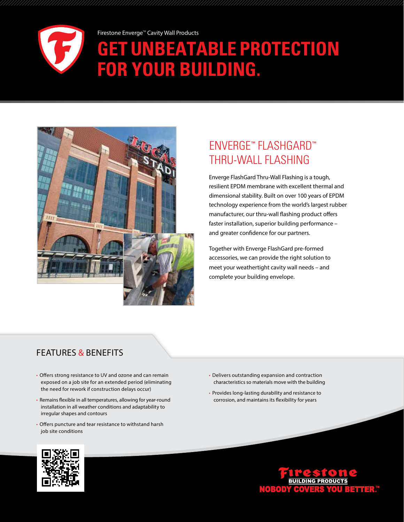

Firestone Enverge<sup>™</sup> Cavity Wall Products **UNBEATABLE PROTECTION for your building.** 



# Enverge™ FlashGard™ Thru-Wall Flashing

Enverge FlashGard Thru-Wall Flashing is a tough, resilient EPDM membrane with excellent thermal and dimensional stability. Built on over 100 years of EPDM technology experience from the world's largest rubber manufacturer, our thru-wall flashing product offers faster installation, superior building performance – and greater confidence for our partners.

Together with Enverge FlashGard pre-formed accessories, we can provide the right solution to meet your weathertight cavity wall needs – and complete your building envelope.

### Features & Benefits

- Offers strong resistance to UV and ozone and can remain exposed on a job site for an extended period (eliminating the need for rework if construction delays occur)
- Remains flexible in all temperatures, allowing for year-round installation in all weather conditions and adaptability to irregular shapes and contours
- Offers puncture and tear resistance to withstand harsh job site conditions
- Delivers outstanding expansion and contraction characteristics so materials move with the building
- Provides long-lasting durability and resistance to corrosion, and maintains its flexibility for years